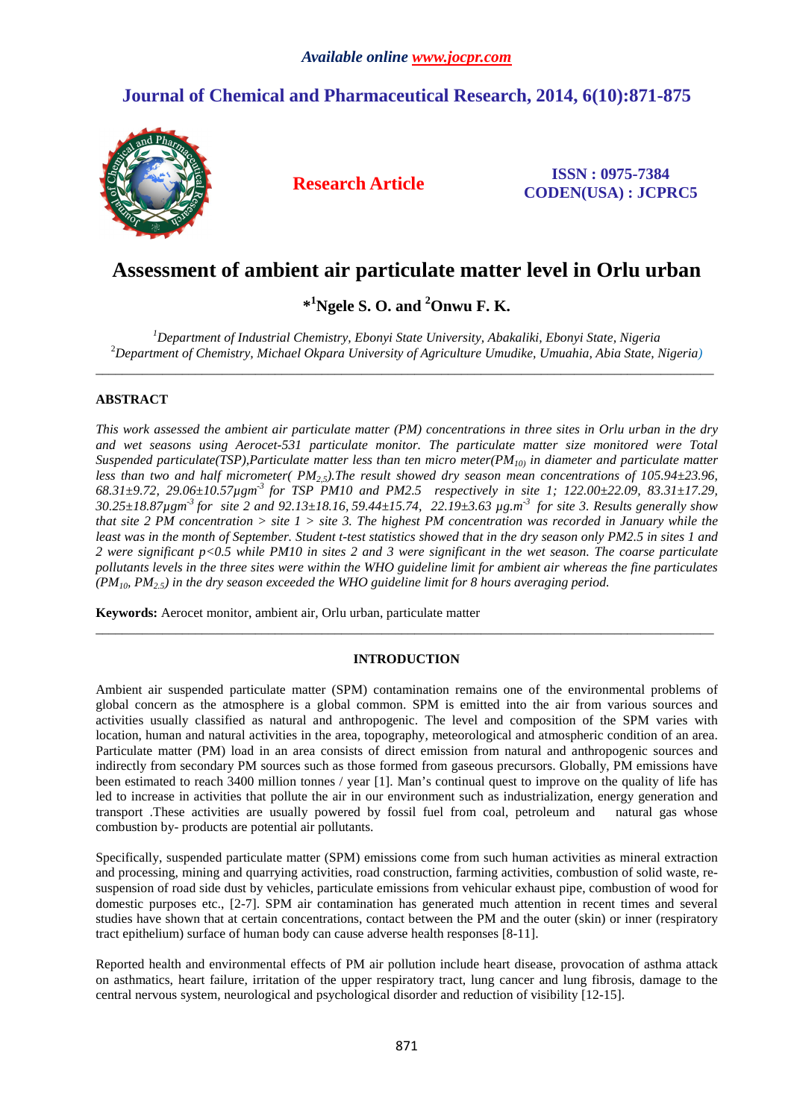# **Journal of Chemical and Pharmaceutical Research, 2014, 6(10):871-875**



**Research Article ISSN : 0975-7384 CODEN(USA) : JCPRC5**

# **Assessment of ambient air particulate matter level in Orlu urban**

**\* <sup>1</sup>Ngele S. O. and <sup>2</sup>Onwu F. K.** 

*<sup>1</sup>Department of Industrial Chemistry, Ebonyi State University, Abakaliki, Ebonyi State, Nigeria*  <sup>2</sup>*Department of Chemistry, Michael Okpara University of Agriculture Umudike, Umuahia, Abia State, Nigeria)*  \_\_\_\_\_\_\_\_\_\_\_\_\_\_\_\_\_\_\_\_\_\_\_\_\_\_\_\_\_\_\_\_\_\_\_\_\_\_\_\_\_\_\_\_\_\_\_\_\_\_\_\_\_\_\_\_\_\_\_\_\_\_\_\_\_\_\_\_\_\_\_\_\_\_\_\_\_\_\_\_\_\_\_\_\_\_\_\_\_\_\_\_\_

### **ABSTRACT**

*This work assessed the ambient air particulate matter (PM) concentrations in three sites in Orlu urban in the dry and wet seasons using Aerocet-531 particulate monitor. The particulate matter size monitored were Total Suspended particulate(TSP),Particulate matter less than ten micro meter(PM10) in diameter and particulate matter less than two and half micrometer( PM2,5).The result showed dry season mean concentrations of 105.94±23.96, 68.31±9.72, 29.06±10.57µgm-3 for TSP PM10 and PM2.5 respectively in site 1; 122.00±22.09, 83.31±17.29, 30.25±18.87µgm-3 for site 2 and 92.13±18.16, 59.44±15.74, 22.19±3.63 µg.m-3 for site 3. Results generally show that site 2 PM concentration > site 1 > site 3. The highest PM concentration was recorded in January while the least was in the month of September. Student t-test statistics showed that in the dry season only PM2.5 in sites 1 and 2 were significant p<0.5 while PM10 in sites 2 and 3 were significant in the wet season. The coarse particulate pollutants levels in the three sites were within the WHO guideline limit for ambient air whereas the fine particulates*   $(PM_{10}, PM_{2.5})$  in the dry season exceeded the WHO guideline limit for 8 hours averaging period.

**Keywords:** Aerocet monitor, ambient air, Orlu urban, particulate matter

## **INTRODUCTION**

\_\_\_\_\_\_\_\_\_\_\_\_\_\_\_\_\_\_\_\_\_\_\_\_\_\_\_\_\_\_\_\_\_\_\_\_\_\_\_\_\_\_\_\_\_\_\_\_\_\_\_\_\_\_\_\_\_\_\_\_\_\_\_\_\_\_\_\_\_\_\_\_\_\_\_\_\_\_\_\_\_\_\_\_\_\_\_\_\_\_\_\_\_

Ambient air suspended particulate matter (SPM) contamination remains one of the environmental problems of global concern as the atmosphere is a global common. SPM is emitted into the air from various sources and activities usually classified as natural and anthropogenic. The level and composition of the SPM varies with location, human and natural activities in the area, topography, meteorological and atmospheric condition of an area. Particulate matter (PM) load in an area consists of direct emission from natural and anthropogenic sources and indirectly from secondary PM sources such as those formed from gaseous precursors. Globally, PM emissions have been estimated to reach 3400 million tonnes / year [1]. Man's continual quest to improve on the quality of life has led to increase in activities that pollute the air in our environment such as industrialization, energy generation and transport .These activities are usually powered by fossil fuel from coal, petroleum and natural gas whose combustion by- products are potential air pollutants.

Specifically, suspended particulate matter (SPM) emissions come from such human activities as mineral extraction and processing, mining and quarrying activities, road construction, farming activities, combustion of solid waste, resuspension of road side dust by vehicles, particulate emissions from vehicular exhaust pipe, combustion of wood for domestic purposes etc., [2-7]. SPM air contamination has generated much attention in recent times and several studies have shown that at certain concentrations, contact between the PM and the outer (skin) or inner (respiratory tract epithelium) surface of human body can cause adverse health responses [8-11].

Reported health and environmental effects of PM air pollution include heart disease, provocation of asthma attack on asthmatics, heart failure, irritation of the upper respiratory tract, lung cancer and lung fibrosis, damage to the central nervous system, neurological and psychological disorder and reduction of visibility [12-15].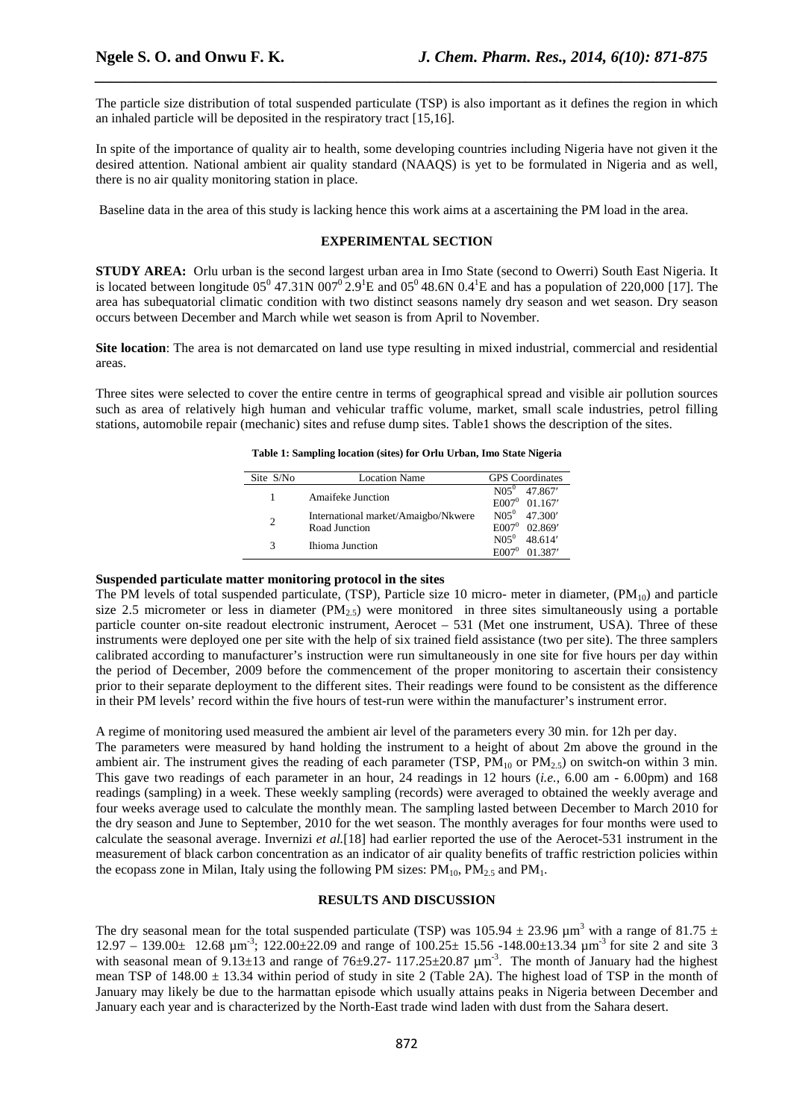The particle size distribution of total suspended particulate (TSP) is also important as it defines the region in which an inhaled particle will be deposited in the respiratory tract [15,16].

*\_\_\_\_\_\_\_\_\_\_\_\_\_\_\_\_\_\_\_\_\_\_\_\_\_\_\_\_\_\_\_\_\_\_\_\_\_\_\_\_\_\_\_\_\_\_\_\_\_\_\_\_\_\_\_\_\_\_\_\_\_\_\_\_\_\_\_\_\_\_\_\_\_\_\_\_\_\_*

In spite of the importance of quality air to health, some developing countries including Nigeria have not given it the desired attention. National ambient air quality standard (NAAQS) is yet to be formulated in Nigeria and as well, there is no air quality monitoring station in place.

Baseline data in the area of this study is lacking hence this work aims at a ascertaining the PM load in the area.

### **EXPERIMENTAL SECTION**

**STUDY AREA:** Orlu urban is the second largest urban area in Imo State (second to Owerri) South East Nigeria. It is located between longitude  $05^0$  47.31N  $007^0$ 2.9<sup>1</sup>E and  $05^0$  48.6N  $0.4^1$ E and has a population of 220,000 [17]. The area has subequatorial climatic condition with two distinct seasons namely dry season and wet season. Dry season occurs between December and March while wet season is from April to November.

**Site location**: The area is not demarcated on land use type resulting in mixed industrial, commercial and residential areas.

Three sites were selected to cover the entire centre in terms of geographical spread and visible air pollution sources such as area of relatively high human and vehicular traffic volume, market, small scale industries, petrol filling stations, automobile repair (mechanic) sites and refuse dump sites. Table1 shows the description of the sites.

**Table 1: Sampling location (sites) for Orlu Urban, Imo State Nigeria** 

| Site S/No      | <b>Location Name</b>                | <b>GPS</b> Coordinates              |
|----------------|-------------------------------------|-------------------------------------|
|                | <b>Amaifeke Junction</b>            | $N05^0$ 47.867'                     |
|                | International market/Amaigbo/Nkwere | $E007^0$ 01.167'<br>$N05^0$ 47.300' |
| $\overline{c}$ | Road Junction                       | $E007^0$ 02.869'                    |
| 3              | Ihioma Junction                     | $N05^0$ 48.614'                     |
|                |                                     | $E007^0$<br>01.387'                 |

#### **Suspended particulate matter monitoring protocol in the sites**

The PM levels of total suspended particulate, (TSP), Particle size 10 micro- meter in diameter,  $(PM_{10})$  and particle size 2.5 micrometer or less in diameter  $(PM<sub>2.5</sub>)$  were monitored in three sites simultaneously using a portable particle counter on-site readout electronic instrument, Aerocet – 531 (Met one instrument, USA). Three of these instruments were deployed one per site with the help of six trained field assistance (two per site). The three samplers calibrated according to manufacturer's instruction were run simultaneously in one site for five hours per day within the period of December, 2009 before the commencement of the proper monitoring to ascertain their consistency prior to their separate deployment to the different sites. Their readings were found to be consistent as the difference in their PM levels' record within the five hours of test-run were within the manufacturer's instrument error.

A regime of monitoring used measured the ambient air level of the parameters every 30 min. for 12h per day. The parameters were measured by hand holding the instrument to a height of about 2m above the ground in the ambient air. The instrument gives the reading of each parameter (TSP,  $PM_{10}$  or  $PM_{2.5}$ ) on switch-on within 3 min. This gave two readings of each parameter in an hour, 24 readings in 12 hours (*i.e.*, 6.00 am - 6.00pm) and 168 readings (sampling) in a week. These weekly sampling (records) were averaged to obtained the weekly average and four weeks average used to calculate the monthly mean. The sampling lasted between December to March 2010 for the dry season and June to September, 2010 for the wet season. The monthly averages for four months were used to calculate the seasonal average. Invernizi *et al.*[18] had earlier reported the use of the Aerocet-531 instrument in the measurement of black carbon concentration as an indicator of air quality benefits of traffic restriction policies within

#### **RESULTS AND DISCUSSION**

the ecopass zone in Milan, Italy using the following PM sizes:  $PM_{10}$ ,  $PM_{25}$  and  $PM_{11}$ .

The dry seasonal mean for the total suspended particulate (TSP) was  $105.94 \pm 23.96 \mu m^3$  with a range of  $81.75 \pm 10^{-10}$  $12.97 - 139.00 \pm 12.68 \mu m^3$ ;  $122.00 \pm 22.09$  and range of  $100.25 \pm 15.56 - 148.00 \pm 13.34 \mu m^3$  for site 2 and site 3 with seasonal mean of  $9.13\pm13$  and range of  $76\pm9.27$ -  $117.25\pm20.87$   $\mu$ m<sup>-3</sup>. The month of January had the highest mean TSP of  $148.00 \pm 13.34$  within period of study in site 2 (Table 2A). The highest load of TSP in the month of January may likely be due to the harmattan episode which usually attains peaks in Nigeria between December and January each year and is characterized by the North-East trade wind laden with dust from the Sahara desert.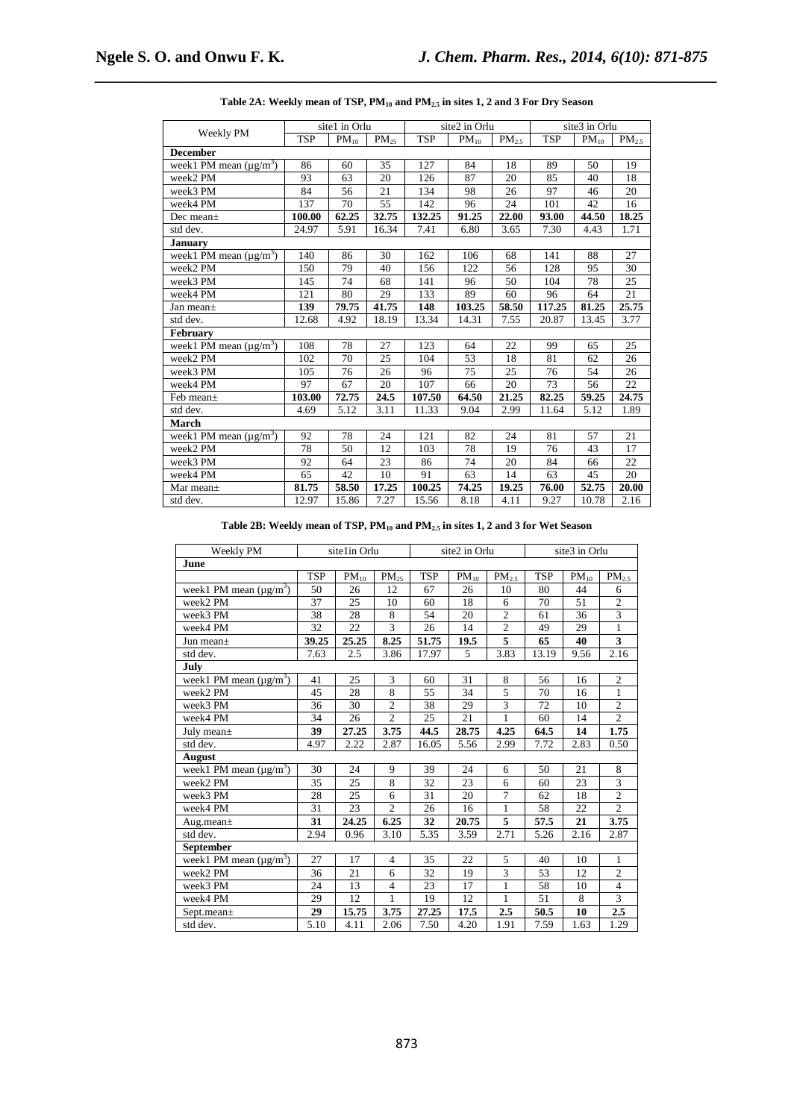|                             |            | site1 in Orlu |                      |            | site2 in Orlu |                   | site3 in Orlu   |                    |                |
|-----------------------------|------------|---------------|----------------------|------------|---------------|-------------------|-----------------|--------------------|----------------|
| Weekly PM                   | <b>TSP</b> | $PM_{10}$     | $\overline{PM}_{25}$ | <b>TSP</b> | $PM_{10}$     | PM <sub>2.5</sub> | <b>TSP</b>      | $PM_{10}$          | $\rm PM_{2.5}$ |
| <b>December</b>             |            |               |                      |            |               |                   |                 |                    |                |
| week1 PM mean $(\mu g/m^3)$ | 86         | 60            | 35                   | 127        | 84            | 18                | 89              | 50                 | 19             |
| week2 PM                    | 93         | 63            | 20                   | 126        | 87            | 20                | 85              | 40                 | 18             |
| week3 PM                    | 84         | 56            | 21                   | 134        | 98            | 26                | 97              | 46                 | 20             |
| week4 PM                    | 137        | 70            | 55                   | 142        | 96            | 24                | 101             | 42                 | 16             |
| Dec mean $\pm$              | 100.00     | 62.25         | 32.75                | 132.25     | 91.25         | 22.00             | 93.00           | 44.50              | 18.25          |
| std dev.                    | 24.97      | 5.91          | 16.34                | 7.41       | 6.80          | 3.65              | 7.30            | 4.43               | 1.71           |
| <b>January</b>              |            |               |                      |            |               |                   |                 |                    |                |
| week1 PM mean $(\mu g/m^3)$ | 140        | 86            | 30                   | 162        | 106           | 68                | 141             | 88                 | 27             |
| week2 PM                    | 150        | 79            | 40                   | 156        | 122           | 56                | 128             | 95                 | 30             |
| week3 PM                    | 145        | 74            | 68                   | 141        | 96            | 50                | 104             | 78                 | 25             |
| week4 PM                    | 121        | 80            | 29                   | 133        | 89            | 60                | 96              | 64                 | 21             |
| Jan mean $\pm$              | 139        | 79.75         | 41.75                | 148        | 103.25        | 58.50             | 117.25          | 81.25              | 25.75          |
| std dev.                    | 12.68      | 4.92          | 18.19                | 13.34      | 14.31         | 7.55              | 20.87           | 13.45              | 3.77           |
| <b>February</b>             |            |               |                      |            |               |                   |                 |                    |                |
| week1 PM mean $(\mu g/m^3)$ | 108        | 78            | 27                   | 123        | 64            | 22                | 99              | 65                 | 25             |
| week2 PM                    | 102        | 70            | 25                   | 104        | 53            | 18                | 81              | 62                 | 26             |
| week3 PM                    | 105        | 76            | 26                   | 96         | 75            | 25                | 76              | 54                 | 26             |
| week4 PM                    | 97         | 67            | 20                   | 107        | 66            | 20                | 73              | 56                 | 22             |
| Feb mean±                   | 103.00     | 72.75         | 24.5                 | 107.50     | 64.50         | 21.25             | 82.25           | $\overline{59.25}$ | 24.75          |
| std dev.                    | 4.69       | 5.12          | 3.11                 | 11.33      | 9.04          | 2.99              | 11.64           | 5.12               | 1.89           |
| March                       |            |               |                      |            |               |                   |                 |                    |                |
| week1 PM mean $(\mu g/m^3)$ | 92         | 78            | 24                   | 121        | 82            | 24                | 81              | 57                 | 21             |
| week2 PM                    | 78         | 50            | 12                   | 103        | 78            | 19                | $\overline{76}$ | 43                 | 17             |
| week3 PM                    | 92         | 64            | 23                   | 86         | 74            | 20                | 84              | 66                 | 22             |
| week4 PM                    | 65         | 42            | 10                   | 91         | 63            | 14                | 63              | 45                 | 20             |
| Mar mean $\pm$              | 81.75      | 58.50         | 17.25                | 100.25     | 74.25         | 19.25             | 76.00           | 52.75              | 20.00          |
| std dev.                    | 12.97      | 15.86         | 7.27                 | 15.56      | 8.18          | 4.11              | 9.27            | 10.78              | 2.16           |

| Table 2A: Weekly mean of TSP, $PM_{10}$ and $PM_{2.5}$ in sites 1, 2 and 3 For Dry Season |  |  |  |  |  |  |
|-------------------------------------------------------------------------------------------|--|--|--|--|--|--|
|-------------------------------------------------------------------------------------------|--|--|--|--|--|--|

*\_\_\_\_\_\_\_\_\_\_\_\_\_\_\_\_\_\_\_\_\_\_\_\_\_\_\_\_\_\_\_\_\_\_\_\_\_\_\_\_\_\_\_\_\_\_\_\_\_\_\_\_\_\_\_\_\_\_\_\_\_\_\_\_\_\_\_\_\_\_\_\_\_\_\_\_\_\_*

**Table 2B: Weekly mean of TSP, PM10 and PM2.5 in sites 1, 2 and 3 for Wet Season** 

| Weekly PM                   |            | site1in Orlu |                | site2 in Orlu |           | site3 in Orlu  |            |           |                         |  |
|-----------------------------|------------|--------------|----------------|---------------|-----------|----------------|------------|-----------|-------------------------|--|
| June                        |            |              |                |               |           |                |            |           |                         |  |
|                             | <b>TSP</b> | $PM_{10}$    | $PM_{25}$      | <b>TSP</b>    | $PM_{10}$ | $PM_{2.5}$     | <b>TSP</b> | $PM_{10}$ | PM <sub>2.5</sub>       |  |
| week1 PM mean $(\mu g/m^3)$ | 50         | 26           | 12             | 67            | 26        | 10             | 80         | 44        | 6                       |  |
| week2 PM                    | 37         | 25           | 10             | 60            | 18        | 6              | 70         | 51        | $\overline{2}$          |  |
| week3 PM                    | 38         | 28           | 8              | 54            | 20        | $\overline{2}$ | 61         | 36        | $\overline{\mathbf{3}}$ |  |
| week4 PM                    | 32         | 22           | 3              | 26            | 14        | $\overline{2}$ | 49         | 29        | $\mathbf{1}$            |  |
| Jun mean $\pm$              | 39.25      | 25.25        | 8.25           | 51.75         | 19.5      | $\overline{5}$ | 65         | 40        | $\overline{\mathbf{3}}$ |  |
| std dev.                    | 7.63       | 2.5          | 3.86           | 17.97         | 5         | 3.83           | 13.19      | 9.56      | 2.16                    |  |
| July                        |            |              |                |               |           |                |            |           |                         |  |
| week1 PM mean $(\mu g/m^3)$ | 41         | 25           | 3              | 60            | 31        | 8              | 56         | 16        | $\overline{c}$          |  |
| week2 PM                    | 45         | 28           | 8              | 55            | 34        | 5              | 70         | 16        | $\mathbf{1}$            |  |
| week3 PM                    | 36         | 30           | 2              | 38            | 29        | $\overline{3}$ | 72         | 10        | $\overline{c}$          |  |
| week4 PM                    | 34         | 26           | $\overline{2}$ | 25            | 21        | $\mathbf{1}$   | 60         | 14        | $\overline{2}$          |  |
| July mean $\pm$             | 39         | 27.25        | 3.75           | 44.5          | 28.75     | 4.25           | 64.5       | 14        | 1.75                    |  |
| std dev.                    | 4.97       | 2.22         | 2.87           | 16.05         | 5.56      | 2.99           | 7.72       | 2.83      | 0.50                    |  |
| August                      |            |              |                |               |           |                |            |           |                         |  |
| week1 PM mean $(\mu g/m^3)$ | 30         | 24           | 9              | 39            | 24        | 6              | 50         | 21        | 8                       |  |
| week2 PM                    | 35         | 25           | 8              | 32            | 23        | 6              | 60         | 23        | $\overline{\mathbf{3}}$ |  |
| week3 PM                    | 28         | 25           | 6              | 31            | 20        | $\overline{7}$ | 62         | 18        | $\overline{2}$          |  |
| week4 PM                    | 31         | 23           | $\overline{c}$ | 26            | 16        | 1              | 58         | 22        | $\overline{2}$          |  |
| Aug.mean $\pm$              | 31         | 24.25        | 6.25           | 32            | 20.75     | $\overline{5}$ | 57.5       | 21        | 3.75                    |  |
| std dev.                    | 2.94       | 0.96         | 3.10           | 5.35          | 3.59      | 2.71           | 5.26       | 2.16      | 2.87                    |  |
| September                   |            |              |                |               |           |                |            |           |                         |  |
| week1 PM mean $(\mu g/m^3)$ | 27         | 17           | $\overline{4}$ | 35            | 22        | 5              | 40         | 10        | 1                       |  |
| week2 PM                    | 36         | 21           | 6              | 32            | 19        | 3              | 53         | 12        | $\overline{c}$          |  |
| week3 PM                    | 24         | 13           | $\overline{4}$ | 23            | 17        | $\mathbf{1}$   | 58         | 10        | $\overline{4}$          |  |
| week4 PM                    | 29         | 12           | 1              | 19            | 12        | 1              | 51         | 8         | $\overline{3}$          |  |
| Sept.mean $\pm$             | 29         | 15.75        | 3.75           | 27.25         | 17.5      | 2.5            | 50.5       | 10        | 2.5                     |  |
| std dev.                    | 5.10       | 4.11         | 2.06           | 7.50          | 4.20      | 1.91           | 7.59       | 1.63      | 1.29                    |  |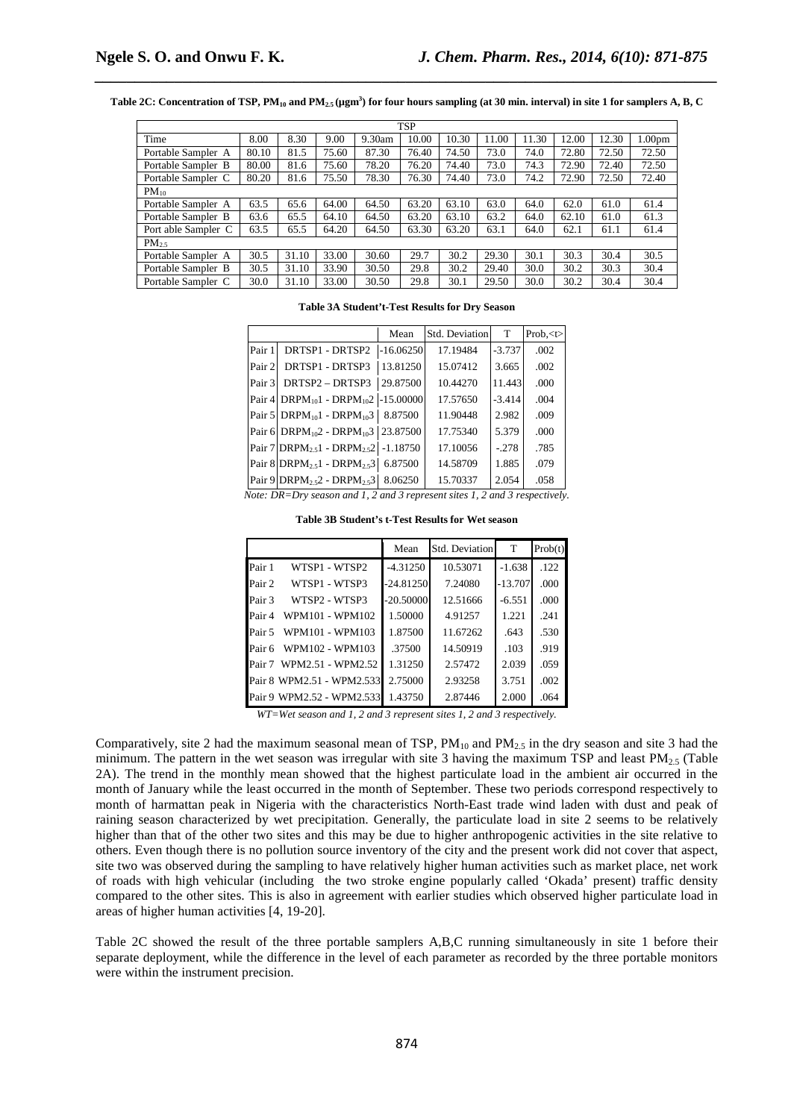**Table 2C: Concentration of TSP, PM10 and PM2.5 (µgm<sup>3</sup> ) for four hours sampling (at 30 min. interval) in site 1 for samplers A, B, C** 

*\_\_\_\_\_\_\_\_\_\_\_\_\_\_\_\_\_\_\_\_\_\_\_\_\_\_\_\_\_\_\_\_\_\_\_\_\_\_\_\_\_\_\_\_\_\_\_\_\_\_\_\_\_\_\_\_\_\_\_\_\_\_\_\_\_\_\_\_\_\_\_\_\_\_\_\_\_\_*

|                     |       |       |       |        | <b>TSP</b> |       |       |       |       |       |                    |
|---------------------|-------|-------|-------|--------|------------|-------|-------|-------|-------|-------|--------------------|
| Time                | 8.00  | 8.30  | 9.00  | 9.30am | 10.00      | 10.30 | 11.00 | 11.30 | 12.00 | 12.30 | 1.00 <sub>pm</sub> |
| Portable Sampler A  | 80.10 | 81.5  | 75.60 | 87.30  | 76.40      | 74.50 | 73.0  | 74.0  | 72.80 | 72.50 | 72.50              |
| Portable Sampler B  | 80.00 | 81.6  | 75.60 | 78.20  | 76.20      | 74.40 | 73.0  | 74.3  | 72.90 | 72.40 | 72.50              |
| Portable Sampler C  | 80.20 | 81.6  | 75.50 | 78.30  | 76.30      | 74.40 | 73.0  | 74.2  | 72.90 | 72.50 | 72.40              |
| $PM_{10}$           |       |       |       |        |            |       |       |       |       |       |                    |
| Portable Sampler A  | 63.5  | 65.6  | 64.00 | 64.50  | 63.20      | 63.10 | 63.0  | 64.0  | 62.0  | 61.0  | 61.4               |
| Portable Sampler B  | 63.6  | 65.5  | 64.10 | 64.50  | 63.20      | 63.10 | 63.2  | 64.0  | 62.10 | 61.0  | 61.3               |
| Port able Sampler C | 63.5  | 65.5  | 64.20 | 64.50  | 63.30      | 63.20 | 63.1  | 64.0  | 62.1  | 61.1  | 61.4               |
| $PM_{2.5}$          |       |       |       |        |            |       |       |       |       |       |                    |
| Portable Sampler A  | 30.5  | 31.10 | 33.00 | 30.60  | 29.7       | 30.2  | 29.30 | 30.1  | 30.3  | 30.4  | 30.5               |
| Portable Sampler B  | 30.5  | 31.10 | 33.90 | 30.50  | 29.8       | 30.2  | 29.40 | 30.0  | 30.2  | 30.3  | 30.4               |
| Portable Sampler C  | 30.0  | 31.10 | 33.00 | 30.50  | 29.8       | 30.1  | 29.50 | 30.0  | 30.2  | 30.4  | 30.4               |

#### **Table 3A Student't-Test Results for Dry Season**

|         |                                                                                 | Mean        | Std. Deviation | T        | Prob, <t></t> |
|---------|---------------------------------------------------------------------------------|-------------|----------------|----------|---------------|
| Pair 1  | DRTSP1 - DRTSP2                                                                 | $-16.06250$ | 17.19484       | $-3.737$ | .002          |
| Pair 21 | DRTSP1 - DRTSP3                                                                 | 13.81250    | 15.07412       | 3.665    | .002          |
| Pair 3  | DRTSP2 - DRTSP3                                                                 | 29.87500    | 10.44270       | 11.443   | .000          |
|         | Pair 4 DRPM $_{10}$ 1 - DRPM $_{10}$ 2                                          | $-15,00000$ | 17.57650       | $-3.414$ | .004          |
|         | Pair 5 DRPM $_{10}$ 1 - DRPM $_{10}$ 3                                          | 8.87500     | 11.90448       | 2.982    | .009          |
|         | Pair 6 DRPM $_{10}$ 2 - DRPM $_{10}$ 3 23.87500                                 |             | 17.75340       | 5.379    | .000          |
|         | Pair 7 DRPM <sub>25</sub> 1 - DRPM <sub>25</sub> 2                              | $-1.18750$  | 17.10056       | $-.278$  | .785          |
|         | Pair 8 DRPM <sub>2.5</sub> 1 - DRPM <sub>2.5</sub> 3                            | 6.87500     | 14.58709       | 1.885    | .079          |
|         | Pair 9 DRPM <sub>25</sub> 2 - DRPM <sub>25</sub> 3                              | 8.06250     | 15.70337       | 2.054    | .058          |
|         | Note: $DR = Dry$ season and 1, 2 and 3 represent sites 1, 2 and 3 respectively. |             |                |          |               |

**Table 3B Student's t-Test Results for Wet season** 

|        |                                   | Mean        | Std. Deviation | T         | Prob(t) |
|--------|-----------------------------------|-------------|----------------|-----------|---------|
| Pair 1 | WTSP1 - WTSP2                     | $-4.31250$  | 10.53071       | $-1.638$  | .122    |
| Pair 2 | WTSP1 - WTSP3                     | $-24.81250$ | 7.24080        | $-13.707$ | .000    |
| Pair 3 | WTSP2 - WTSP3                     | $-20.50000$ | 12.51666       | $-6.551$  | .000    |
| Pair 4 | WPM101 - WPM102                   | 1.50000     | 4.91257        | 1.221     | .241    |
| Pair 5 | WPM101 - WPM103                   | 1.87500     | 11.67262       | .643      | .530    |
| Pair 6 | WPM102 - WPM103                   | .37500      | 14.50919       | .103      | .919    |
|        | Pair 7 WPM2.51 - WPM2.52          | 1.31250     | 2.57472        | 2.039     | .059    |
|        | Pair 8 WPM2.51 - WPM2.533         | 2.75000     | 2.93258        | 3.751     | .002    |
|        | Pair 9 WPM2.52 - WPM2.533 1.43750 |             | 2.87446        | 2.000     | .064    |

*WT=Wet season and 1, 2 and 3 represent sites 1, 2 and 3 respectively.* 

Comparatively, site 2 had the maximum seasonal mean of TSP,  $PM_{10}$  and  $PM_{2.5}$  in the dry season and site 3 had the minimum. The pattern in the wet season was irregular with site 3 having the maximum TSP and least  $PM_{2.5}$  (Table 2A). The trend in the monthly mean showed that the highest particulate load in the ambient air occurred in the month of January while the least occurred in the month of September. These two periods correspond respectively to month of harmattan peak in Nigeria with the characteristics North-East trade wind laden with dust and peak of raining season characterized by wet precipitation. Generally, the particulate load in site 2 seems to be relatively higher than that of the other two sites and this may be due to higher anthropogenic activities in the site relative to others. Even though there is no pollution source inventory of the city and the present work did not cover that aspect, site two was observed during the sampling to have relatively higher human activities such as market place, net work of roads with high vehicular (including the two stroke engine popularly called 'Okada' present) traffic density compared to the other sites. This is also in agreement with earlier studies which observed higher particulate load in areas of higher human activities [4, 19-20].

Table 2C showed the result of the three portable samplers A,B,C running simultaneously in site 1 before their separate deployment, while the difference in the level of each parameter as recorded by the three portable monitors were within the instrument precision.